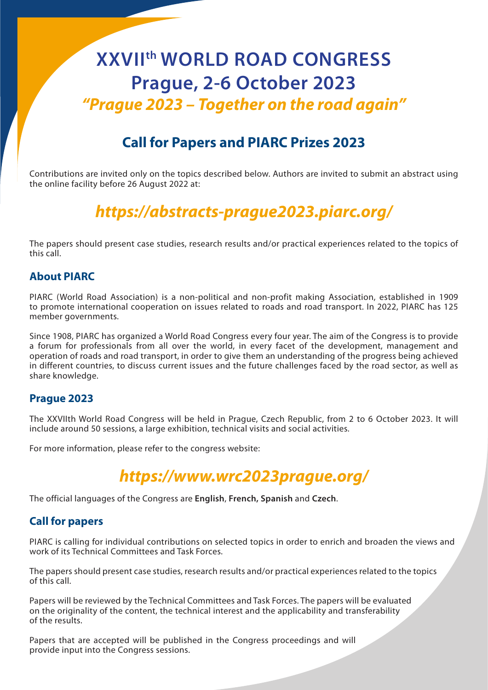# **XXVIIth WORLD ROAD CONGRESS Prague, 2-6 October 2023** *"Prague 2023 – Together on the road again"*

## **Call for Papers and PIARC Prizes 2023**

Contributions are invited only on the topics described below. Authors are invited to submit an abstract using the online facility before 26 August 2022 at:

## *https://abstracts-prague2023.piarc.org/*

The papers should present case studies, research results and/or practical experiences related to the topics of this call.

## **About PIARC**

PIARC (World Road Association) is a non-political and non-profit making Association, established in 1909 to promote international cooperation on issues related to roads and road transport. In 2022, PIARC has 125 member governments.

Since 1908, PIARC has organized a World Road Congress every four year. The aim of the Congress is to provide a forum for professionals from all over the world, in every facet of the development, management and operation of roads and road transport, in order to give them an understanding of the progress being achieved in different countries, to discuss current issues and the future challenges faced by the road sector, as well as share knowledge.

#### **Prague 2023**

The XXVIIth World Road Congress will be held in Prague, Czech Republic, from 2 to 6 October 2023. It will include around 50 sessions, a large exhibition, technical visits and social activities.

For more information, please refer to the congress website:

## *https://www.wrc2023prague.org/*

The official languages of the Congress are **English**, **French, Spanish** and **Czech**.

#### **Call for papers**

PIARC is calling for individual contributions on selected topics in order to enrich and broaden the views and work of its Technical Committees and Task Forces.

The papers should present case studies, research results and/or practical experiences related to the topics of this call.

Papers will be reviewed by the Technical Committees and Task Forces. The papers will be evaluated on the originality of the content, the technical interest and the applicability and transferability of the results.

Papers that are accepted will be published in the Congress proceedings and will provide input into the Congress sessions.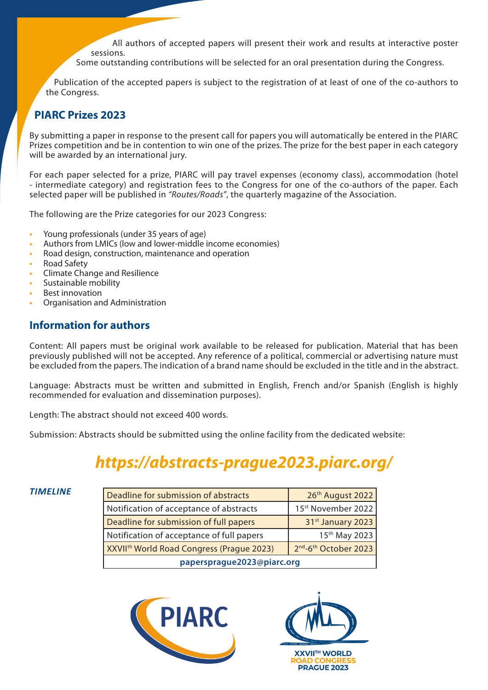All authors of accepted papers will present their work and results at interactive poster sessions.

Some outstanding contributions will be selected for an oral presentation during the Congress.

Publication of the accepted papers is subject to the registration of at least of one of the co-authors to the Congress.

## **PIARC Prizes 2023**

By submitting a paper in response to the present call for papers you will automatically be entered in the PIARC Prizes competition and be in contention to win one of the prizes. The prize for the best paper in each category will be awarded by an international jury.

For each paper selected for a prize, PIARC will pay travel expenses (economy class), accommodation (hotel - intermediate category) and registration fees to the Congress for one of the co-authors of the paper. Each selected paper will be published in *"Routes/Roads"*, the quarterly magazine of the Association.

The following are the Prize categories for our 2023 Congress:

- **•** Young professionals (under 35 years of age)
- **•** Authors from LMICs (low and lower-middle income economies)
- **•** Road design, construction, maintenance and operation
- **•** Road Safety
- **•** Climate Change and Resilience
- **•** Sustainable mobility
- **•** Best innovation
- **•** Organisation and Administration

## **Information for authors**

Content: All papers must be original work available to be released for publication. Material that has been previously published will not be accepted. Any reference of a political, commercial or advertising nature must be excluded from the papers. The indication of a brand name should be excluded in the title and in the abstract.

Language: Abstracts must be written and submitted in English, French and/or Spanish (English is highly recommended for evaluation and dissemination purposes).

Length: The abstract should not exceed 400 words.

Submission: Abstracts should be submitted using the online facility from the dedicated website:

## *https://abstracts-prague2023.piarc.org/*

#### *TIMELINE*

| Deadline for submission of abstracts                  | 26th August 2022                              |
|-------------------------------------------------------|-----------------------------------------------|
| Notification of acceptance of abstracts               | 15 <sup>st</sup> November 2022                |
| Deadline for submission of full papers                | 31 <sup>st</sup> January 2023                 |
| Notification of acceptance of full papers             | 15th May 2023                                 |
| XXVII <sup>th</sup> World Road Congress (Prague 2023) | 2 <sup>nd</sup> -6 <sup>th</sup> October 2023 |
| papersprague2023@piarc.org                            |                                               |



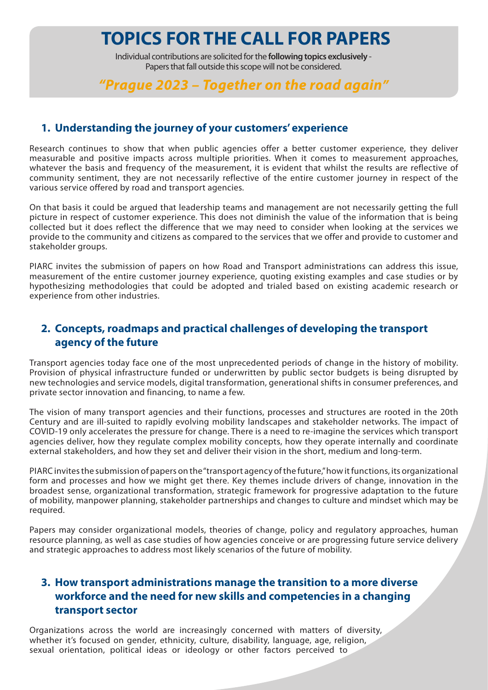Individual contributions are solicited for the **following topics exclusively** - Papers that fall outside this scope will not be considered.

## *"Prague 2023 – Together on the road again"*

#### **1. Understanding the journey of your customers' experience**

Research continues to show that when public agencies offer a better customer experience, they deliver measurable and positive impacts across multiple priorities. When it comes to measurement approaches, whatever the basis and frequency of the measurement, it is evident that whilst the results are reflective of community sentiment, they are not necessarily reflective of the entire customer journey in respect of the various service offered by road and transport agencies.

On that basis it could be argued that leadership teams and management are not necessarily getting the full picture in respect of customer experience. This does not diminish the value of the information that is being collected but it does reflect the difference that we may need to consider when looking at the services we provide to the community and citizens as compared to the services that we offer and provide to customer and stakeholder groups.

PIARC invites the submission of papers on how Road and Transport administrations can address this issue, measurement of the entire customer journey experience, quoting existing examples and case studies or by hypothesizing methodologies that could be adopted and trialed based on existing academic research or experience from other industries.

## **2. Concepts, roadmaps and practical challenges of developing the transport agency of the future**

Transport agencies today face one of the most unprecedented periods of change in the history of mobility. Provision of physical infrastructure funded or underwritten by public sector budgets is being disrupted by new technologies and service models, digital transformation, generational shifts in consumer preferences, and private sector innovation and financing, to name a few.

The vision of many transport agencies and their functions, processes and structures are rooted in the 20th Century and are ill-suited to rapidly evolving mobility landscapes and stakeholder networks. The impact of COVID-19 only accelerates the pressure for change. There is a need to re-imagine the services which transport agencies deliver, how they regulate complex mobility concepts, how they operate internally and coordinate external stakeholders, and how they set and deliver their vision in the short, medium and long-term.

PIARC invites the submission of papers on the "transport agency of the future," how it functions, its organizational form and processes and how we might get there. Key themes include drivers of change, innovation in the broadest sense, organizational transformation, strategic framework for progressive adaptation to the future of mobility, manpower planning, stakeholder partnerships and changes to culture and mindset which may be required.

Papers may consider organizational models, theories of change, policy and regulatory approaches, human resource planning, as well as case studies of how agencies conceive or are progressing future service delivery and strategic approaches to address most likely scenarios of the future of mobility.

## **3. How transport administrations manage the transition to a more diverse workforce and the need for new skills and competencies in a changing transport sector**

Organizations across the world are increasingly concerned with matters of diversity, whether it's focused on gender, ethnicity, culture, disability, language, age, religion, sexual orientation, political ideas or ideology or other factors perceived to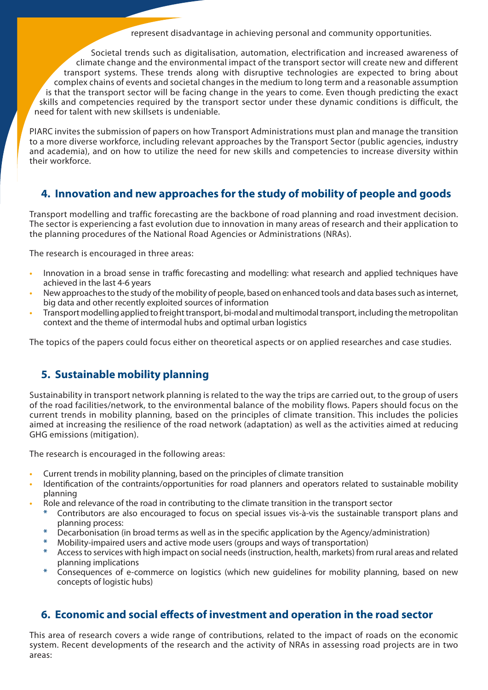represent disadvantage in achieving personal and community opportunities.

Societal trends such as digitalisation, automation, electrification and increased awareness of climate change and the environmental impact of the transport sector will create new and different transport systems. These trends along with disruptive technologies are expected to bring about complex chains of events and societal changes in the medium to long term and a reasonable assumption is that the transport sector will be facing change in the years to come. Even though predicting the exact skills and competencies required by the transport sector under these dynamic conditions is difficult, the need for talent with new skillsets is undeniable.

PIARC invites the submission of papers on how Transport Administrations must plan and manage the transition to a more diverse workforce, including relevant approaches by the Transport Sector (public agencies, industry and academia), and on how to utilize the need for new skills and competencies to increase diversity within their workforce.

## **4. Innovation and new approaches for the study of mobility of people and goods**

Transport modelling and traffic forecasting are the backbone of road planning and road investment decision. The sector is experiencing a fast evolution due to innovation in many areas of research and their application to the planning procedures of the National Road Agencies or Administrations (NRAs).

The research is encouraged in three areas:

- **•** Innovation in a broad sense in traffic forecasting and modelling: what research and applied techniques have achieved in the last 4-6 years
- **•** New approaches to the study of the mobility of people, based on enhanced tools and data bases such as internet, big data and other recently exploited sources of information
- **•** Transport modelling applied to freight transport, bi-modal and multimodal transport, including the metropolitan context and the theme of intermodal hubs and optimal urban logistics

The topics of the papers could focus either on theoretical aspects or on applied researches and case studies.

## **5. Sustainable mobility planning**

Sustainability in transport network planning is related to the way the trips are carried out, to the group of users of the road facilities/network, to the environmental balance of the mobility flows. Papers should focus on the current trends in mobility planning, based on the principles of climate transition. This includes the policies aimed at increasing the resilience of the road network (adaptation) as well as the activities aimed at reducing GHG emissions (mitigation).

The research is encouraged in the following areas:

- **•** Current trends in mobility planning, based on the principles of climate transition
- **•** Identification of the contraints/opportunities for road planners and operators related to sustainable mobility planning
- **•** Role and relevance of the road in contributing to the climate transition in the transport sector
	- **\*** Contributors are also encouraged to focus on special issues vis-à-vis the sustainable transport plans and planning process:
	- **\*** Decarbonisation (in broad terms as well as in the specific application by the Agency/administration)
	- **\*** Mobility-impaired users and active mode users (groups and ways of transportation)
	- **\*** Access to services with high impact on social needs (instruction, health, markets) from rural areas and related planning implications
	- **\*** Consequences of e-commerce on logistics (which new guidelines for mobility planning, based on new concepts of logistic hubs)

## **6. Economic and social effects of investment and operation in the road sector**

This area of research covers a wide range of contributions, related to the impact of roads on the economic system. Recent developments of the research and the activity of NRAs in assessing road projects are in two areas: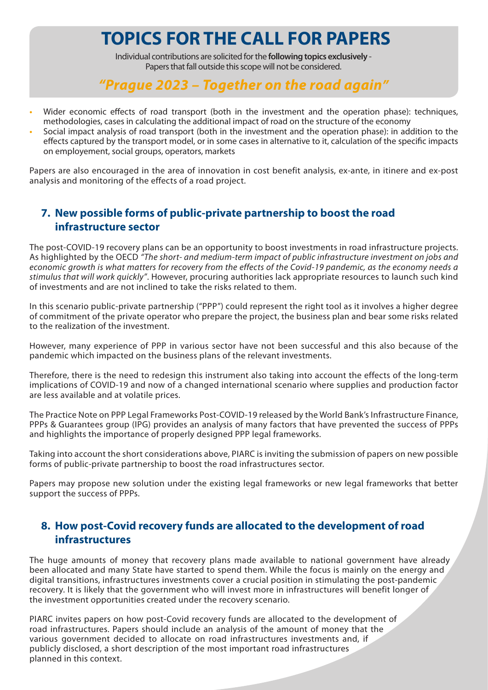Individual contributions are solicited for the **following topics exclusively** - Papers that fall outside this scope will not be considered.

## *"Prague 2023 – Together on the road again"*

- Wider economic effects of road transport (both in the investment and the operation phase): techniques, methodologies, cases in calculating the additional impact of road on the structure of the economy
- **•** Social impact analysis of road transport (both in the investment and the operation phase): in addition to the effects captured by the transport model, or in some cases in alternative to it, calculation of the specific impacts on employement, social groups, operators, markets

Papers are also encouraged in the area of innovation in cost benefit analysis, ex-ante, in itinere and ex-post analysis and monitoring of the effects of a road project.

## **7. New possible forms of public-private partnership to boost the road infrastructure sector**

The post-COVID-19 recovery plans can be an opportunity to boost investments in road infrastructure projects. As highlighted by the OECD *"The short- and medium-term impact of public infrastructure investment on jobs and economic growth is what matters for recovery from the effects of the Covid-19 pandemic, as the economy needs a stimulus that will work quickly"*. However, procuring authorities lack appropriate resources to launch such kind of investments and are not inclined to take the risks related to them.

In this scenario public-private partnership ("PPP") could represent the right tool as it involves a higher degree of commitment of the private operator who prepare the project, the business plan and bear some risks related to the realization of the investment.

However, many experience of PPP in various sector have not been successful and this also because of the pandemic which impacted on the business plans of the relevant investments.

Therefore, there is the need to redesign this instrument also taking into account the effects of the long-term implications of COVID-19 and now of a changed international scenario where supplies and production factor are less available and at volatile prices.

The Practice Note on PPP Legal Frameworks Post-COVID-19 released by the World Bank's Infrastructure Finance, PPPs & Guarantees group (IPG) provides an analysis of many factors that have prevented the success of PPPs and highlights the importance of properly designed PPP legal frameworks.

Taking into account the short considerations above, PIARC is inviting the submission of papers on new possible forms of public-private partnership to boost the road infrastructures sector.

Papers may propose new solution under the existing legal frameworks or new legal frameworks that better support the success of PPPs.

## **8. How post-Covid recovery funds are allocated to the development of road infrastructures**

The huge amounts of money that recovery plans made available to national government have already been allocated and many State have started to spend them. While the focus is mainly on the energy and digital transitions, infrastructures investments cover a crucial position in stimulating the post-pandemic recovery. It is likely that the government who will invest more in infrastructures will benefit longer of the investment opportunities created under the recovery scenario.

PIARC invites papers on how post-Covid recovery funds are allocated to the development of road infrastructures. Papers should include an analysis of the amount of money that the various government decided to allocate on road infrastructures investments and, if publicly disclosed, a short description of the most important road infrastructures planned in this context.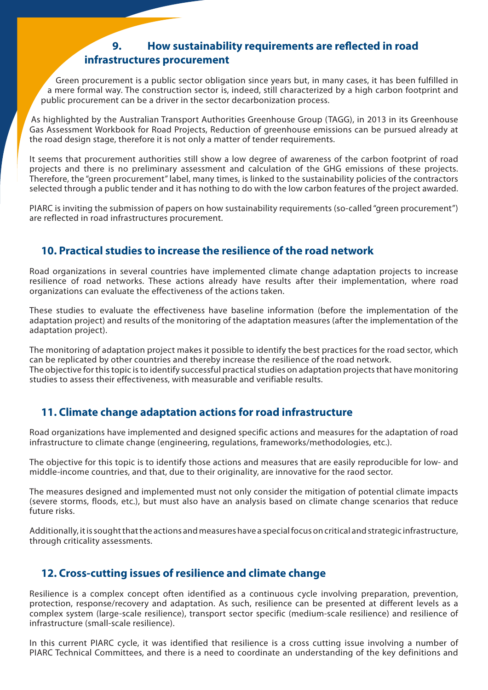## **9. How sustainability requirements are reflected in road infrastructures procurement**

Green procurement is a public sector obligation since years but, in many cases, it has been fulfilled in a mere formal way. The construction sector is, indeed, still characterized by a high carbon footprint and public procurement can be a driver in the sector decarbonization process.

As highlighted by the Australian Transport Authorities Greenhouse Group (TAGG), in 2013 in its Greenhouse Gas Assessment Workbook for Road Projects, Reduction of greenhouse emissions can be pursued already at the road design stage, therefore it is not only a matter of tender requirements.

It seems that procurement authorities still show a low degree of awareness of the carbon footprint of road projects and there is no preliminary assessment and calculation of the GHG emissions of these projects. Therefore, the "green procurement" label, many times, is linked to the sustainability policies of the contractors selected through a public tender and it has nothing to do with the low carbon features of the project awarded.

PIARC is inviting the submission of papers on how sustainability requirements (so-called "green procurement") are reflected in road infrastructures procurement.

## **10. Practical studies to increase the resilience of the road network**

Road organizations in several countries have implemented climate change adaptation projects to increase resilience of road networks. These actions already have results after their implementation, where road organizations can evaluate the effectiveness of the actions taken.

These studies to evaluate the effectiveness have baseline information (before the implementation of the adaptation project) and results of the monitoring of the adaptation measures (after the implementation of the adaptation project).

The monitoring of adaptation project makes it possible to identify the best practices for the road sector, which can be replicated by other countries and thereby increase the resilience of the road network. The objective for this topic is to identify successful practical studies on adaptation projects that have monitoring studies to assess their effectiveness, with measurable and verifiable results.

## **11. Climate change adaptation actions for road infrastructure**

Road organizations have implemented and designed specific actions and measures for the adaptation of road infrastructure to climate change (engineering, regulations, frameworks/methodologies, etc.).

The objective for this topic is to identify those actions and measures that are easily reproducible for low- and middle-income countries, and that, due to their originality, are innovative for the raod sector.

The measures designed and implemented must not only consider the mitigation of potential climate impacts (severe storms, floods, etc.), but must also have an analysis based on climate change scenarios that reduce future risks.

Additionally, it is sought that the actions and measures have a special focus on critical and strategic infrastructure, through criticality assessments.

#### **12. Cross-cutting issues of resilience and climate change**

Resilience is a complex concept often identified as a continuous cycle involving preparation, prevention, protection, response/recovery and adaptation. As such, resilience can be presented at different levels as a complex system (large-scale resilience), transport sector specific (medium-scale resilience) and resilience of infrastructure (small-scale resilience).

In this current PIARC cycle, it was identified that resilience is a cross cutting issue involving a number of PIARC Technical Committees, and there is a need to coordinate an understanding of the key definitions and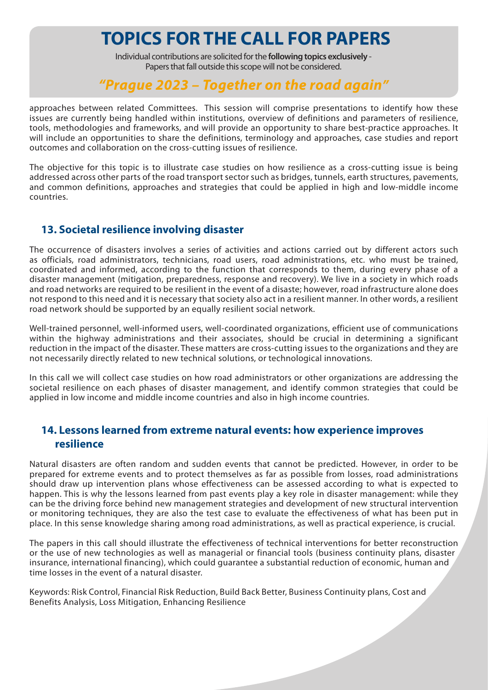Individual contributions are solicited for the **following topics exclusively** - Papers that fall outside this scope will not be considered.

## *"Prague 2023 – Together on the road again"*

approaches between related Committees. This session will comprise presentations to identify how these issues are currently being handled within institutions, overview of definitions and parameters of resilience, tools, methodologies and frameworks, and will provide an opportunity to share best-practice approaches. It will include an opportunities to share the definitions, terminology and approaches, case studies and report outcomes and collaboration on the cross-cutting issues of resilience.

The objective for this topic is to illustrate case studies on how resilience as a cross-cutting issue is being addressed across other parts of the road transport sector such as bridges, tunnels, earth structures, pavements, and common definitions, approaches and strategies that could be applied in high and low-middle income countries.

## **13. Societal resilience involving disaster**

The occurrence of disasters involves a series of activities and actions carried out by different actors such as officials, road administrators, technicians, road users, road administrations, etc. who must be trained, coordinated and informed, according to the function that corresponds to them, during every phase of a disaster management (mitigation, preparedness, response and recovery). We live in a society in which roads and road networks are required to be resilient in the event of a disaste; however, road infrastructure alone does not respond to this need and it is necessary that society also act in a resilient manner. In other words, a resilient road network should be supported by an equally resilient social network.

Well-trained personnel, well-informed users, well-coordinated organizations, efficient use of communications within the highway administrations and their associates, should be crucial in determining a significant reduction in the impact of the disaster. These matters are cross-cutting issues to the organizations and they are not necessarily directly related to new technical solutions, or technological innovations.

In this call we will collect case studies on how road administrators or other organizations are addressing the societal resilience on each phases of disaster management, and identify common strategies that could be applied in low income and middle income countries and also in high income countries.

## **14. Lessons learned from extreme natural events: how experience improves resilience**

Natural disasters are often random and sudden events that cannot be predicted. However, in order to be prepared for extreme events and to protect themselves as far as possible from losses, road administrations should draw up intervention plans whose effectiveness can be assessed according to what is expected to happen. This is why the lessons learned from past events play a key role in disaster management: while they can be the driving force behind new management strategies and development of new structural intervention or monitoring techniques, they are also the test case to evaluate the effectiveness of what has been put in place. In this sense knowledge sharing among road administrations, as well as practical experience, is crucial.

The papers in this call should illustrate the effectiveness of technical interventions for better reconstruction or the use of new technologies as well as managerial or financial tools (business continuity plans, disaster insurance, international financing), which could guarantee a substantial reduction of economic, human and time losses in the event of a natural disaster.

Keywords: Risk Control, Financial Risk Reduction, Build Back Better, Business Continuity plans, Cost and Benefits Analysis, Loss Mitigation, Enhancing Resilience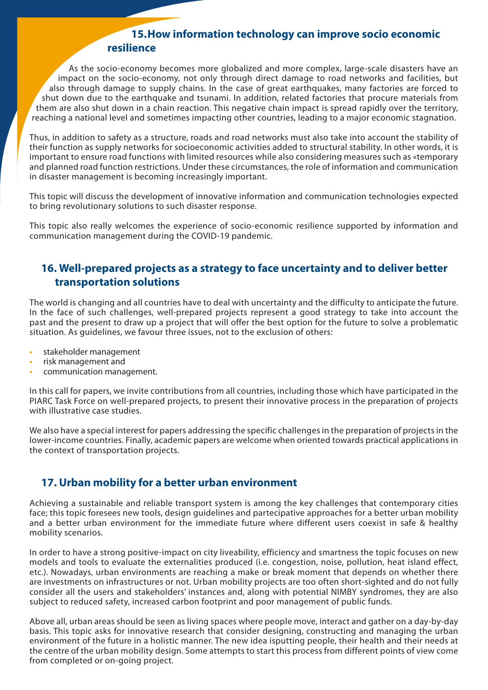## **15.How information technology can improve socio economic resilience**

As the socio-economy becomes more globalized and more complex, large-scale disasters have an impact on the socio-economy, not only through direct damage to road networks and facilities, but also through damage to supply chains. In the case of great earthquakes, many factories are forced to shut down due to the earthquake and tsunami. In addition, related factories that procure materials from them are also shut down in a chain reaction. This negative chain impact is spread rapidly over the territory, reaching a national level and sometimes impacting other countries, leading to a major economic stagnation.

Thus, in addition to safety as a structure, roads and road networks must also take into account the stability of their function as supply networks for socioeconomic activities added to structural stability. In other words, it is important to ensure road functions with limited resources while also considering measures such as «temporary and planned road function restrictions. Under these circumstances, the role of information and communication in disaster management is becoming increasingly important.

This topic will discuss the development of innovative information and communication technologies expected to bring revolutionary solutions to such disaster response.

This topic also really welcomes the experience of socio-economic resilience supported by information and communication management during the COVID-19 pandemic.

## **16. Well-prepared projects as a strategy to face uncertainty and to deliver better transportation solutions**

The world is changing and all countries have to deal with uncertainty and the difficulty to anticipate the future. In the face of such challenges, well-prepared projects represent a good strategy to take into account the past and the present to draw up a project that will offer the best option for the future to solve a problematic situation. As guidelines, we favour three issues, not to the exclusion of others:

- **•** stakeholder management
- **•** risk management and
- **•** communication management.

In this call for papers, we invite contributions from all countries, including those which have participated in the PIARC Task Force on well-prepared projects, to present their innovative process in the preparation of projects with illustrative case studies.

We also have a special interest for papers addressing the specific challenges in the preparation of projects in the lower-income countries. Finally, academic papers are welcome when oriented towards practical applications in the context of transportation projects.

## **17. Urban mobility for a better urban environment**

Achieving a sustainable and reliable transport system is among the key challenges that contemporary cities face; this topic foresees new tools, design guidelines and partecipative approaches for a better urban mobility and a better urban environment for the immediate future where different users coexist in safe & healthy mobility scenarios.

In order to have a strong positive-impact on city liveability, efficiency and smartness the topic focuses on new models and tools to evaluate the externalities produced (i.e. congestion, noise, pollution, heat island effect, etc.). Nowadays, urban environments are reaching a make or break moment that depends on whether there are investments on infrastructures or not. Urban mobility projects are too often short-sighted and do not fully consider all the users and stakeholders' instances and, along with potential NIMBY syndromes, they are also subject to reduced safety, increased carbon footprint and poor management of public funds.

Above all, urban areas should be seen as living spaces where people move, interact and gather on a day-by-day basis. This topic asks for innovative research that consider designing, constructing and managing the urban environment of the future in a holistic manner. The new idea isputting people, their health and their needs at the centre of the urban mobility design. Some attempts to start this process from different points of view come from completed or on-going project.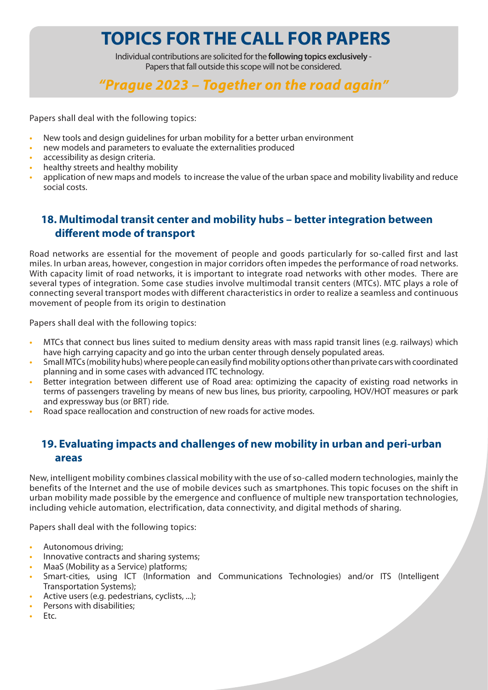Individual contributions are solicited for the **following topics exclusively** - Papers that fall outside this scope will not be considered.

## *"Prague 2023 – Together on the road again"*

Papers shall deal with the following topics:

- **•** New tools and design guidelines for urban mobility for a better urban environment
- **•** new models and parameters to evaluate the externalities produced
- **•** accessibility as design criteria.
- **•** healthy streets and healthy mobility
- **•** application of new maps and models to increase the value of the urban space and mobility livability and reduce social costs.

## **18. Multimodal transit center and mobility hubs – better integration between different mode of transport**

Road networks are essential for the movement of people and goods particularly for so-called first and last miles. In urban areas, however, congestion in major corridors often impedes the performance of road networks. With capacity limit of road networks, it is important to integrate road networks with other modes. There are several types of integration. Some case studies involve multimodal transit centers (MTCs). MTC plays a role of connecting several transport modes with different characteristics in order to realize a seamless and continuous movement of people from its origin to destination

Papers shall deal with the following topics:

- **•** MTCs that connect bus lines suited to medium density areas with mass rapid transit lines (e.g. railways) which have high carrying capacity and go into the urban center through densely populated areas.
- **•** Small MTCs (mobility hubs) where people can easily find mobility options other than private cars with coordinated planning and in some cases with advanced ITC technology.
- **•** Better integration between different use of Road area: optimizing the capacity of existing road networks in terms of passengers traveling by means of new bus lines, bus priority, carpooling, HOV/HOT measures or park and expressway bus (or BRT) ride.
- **•** Road space reallocation and construction of new roads for active modes.

## **19. Evaluating impacts and challenges of new mobility in urban and peri-urban areas**

New, intelligent mobility combines classical mobility with the use of so-called modern technologies, mainly the benefits of the Internet and the use of mobile devices such as smartphones. This topic focuses on the shift in urban mobility made possible by the emergence and confluence of multiple new transportation technologies, including vehicle automation, electrification, data connectivity, and digital methods of sharing.

Papers shall deal with the following topics:

- **•** Autonomous driving;
- **•** Innovative contracts and sharing systems;
- **•** MaaS (Mobility as a Service) platforms;
- **•** Smart-cities, using ICT (Information and Communications Technologies) and/or ITS (Intelligent Transportation Systems);
- **•** Active users (e.g. pedestrians, cyclists, ...);
- **•** Persons with disabilities;
- **•** Etc.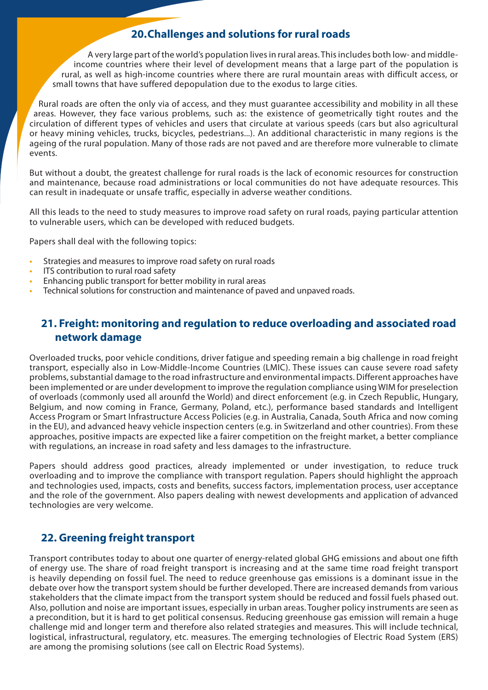## **20.Challenges and solutions for rural roads**

A very large part of the world's population lives in rural areas. This includes both low- and middleincome countries where their level of development means that a large part of the population is rural, as well as high-income countries where there are rural mountain areas with difficult access, or small towns that have suffered depopulation due to the exodus to large cities.

Rural roads are often the only via of access, and they must guarantee accessibility and mobility in all these areas. However, they face various problems, such as: the existence of geometrically tight routes and the circulation of different types of vehicles and users that circulate at various speeds (cars but also agricultural or heavy mining vehicles, trucks, bicycles, pedestrians...). An additional characteristic in many regions is the ageing of the rural population. Many of those rads are not paved and are therefore more vulnerable to climate events.

But without a doubt, the greatest challenge for rural roads is the lack of economic resources for construction and maintenance, because road administrations or local communities do not have adequate resources. This can result in inadequate or unsafe traffic, especially in adverse weather conditions.

All this leads to the need to study measures to improve road safety on rural roads, paying particular attention to vulnerable users, which can be developed with reduced budgets.

Papers shall deal with the following topics:

- **•** Strategies and measures to improve road safety on rural roads
- **•** ITS contribution to rural road safety
- **•** Enhancing public transport for better mobility in rural areas
- **•** Technical solutions for construction and maintenance of paved and unpaved roads.

## **21. Freight: monitoring and regulation to reduce overloading and associated road network damage**

Overloaded trucks, poor vehicle conditions, driver fatigue and speeding remain a big challenge in road freight transport, especially also in Low-Middle-Income Countries (LMIC). These issues can cause severe road safety problems, substantial damage to the road infrastructure and environmental impacts. Different approaches have been implemented or are under development to improve the regulation compliance using WIM for preselection of overloads (commonly used all arounfd the World) and direct enforcement (e.g. in Czech Republic, Hungary, Belgium, and now coming in France, Germany, Poland, etc.), performance based standards and Intelligent Access Program or Smart Infrastructure Access Policies (e.g. in Australia, Canada, South Africa and now coming in the EU), and advanced heavy vehicle inspection centers (e.g. in Switzerland and other countries). From these approaches, positive impacts are expected like a fairer competition on the freight market, a better compliance with regulations, an increase in road safety and less damages to the infrastructure.

Papers should address good practices, already implemented or under investigation, to reduce truck overloading and to improve the compliance with transport regulation. Papers should highlight the approach and technologies used, impacts, costs and benefits, success factors, implementation process, user acceptance and the role of the government. Also papers dealing with newest developments and application of advanced technologies are very welcome.

## **22. Greening freight transport**

Transport contributes today to about one quarter of energy-related global GHG emissions and about one fifth of energy use. The share of road freight transport is increasing and at the same time road freight transport is heavily depending on fossil fuel. The need to reduce greenhouse gas emissions is a dominant issue in the debate over how the transport system should be further developed. There are increased demands from various stakeholders that the climate impact from the transport system should be reduced and fossil fuels phased out. Also, pollution and noise are important issues, especially in urban areas. Tougher policy instruments are seen as a precondition, but it is hard to get political consensus. Reducing greenhouse gas emission will remain a huge challenge mid and longer term and therefore also related strategies and measures. This will include technical, logistical, infrastructural, regulatory, etc. measures. The emerging technologies of Electric Road System (ERS) are among the promising solutions (see call on Electric Road Systems).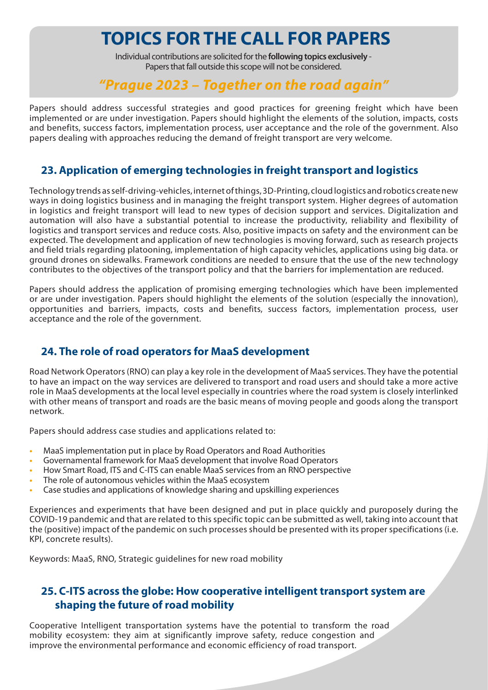Individual contributions are solicited for the **following topics exclusively** - Papers that fall outside this scope will not be considered.

## *"Prague 2023 – Together on the road again"*

Papers should address successful strategies and good practices for greening freight which have been implemented or are under investigation. Papers should highlight the elements of the solution, impacts, costs and benefits, success factors, implementation process, user acceptance and the role of the government. Also papers dealing with approaches reducing the demand of freight transport are very welcome.

## **23. Application of emerging technologies in freight transport and logistics**

Technology trends as self-driving-vehicles, internet of things, 3D-Printing, cloud logistics and robotics create new ways in doing logistics business and in managing the freight transport system. Higher degrees of automation in logistics and freight transport will lead to new types of decision support and services. Digitalization and automation will also have a substantial potential to increase the productivity, reliability and flexibility of logistics and transport services and reduce costs. Also, positive impacts on safety and the environment can be expected. The development and application of new technologies is moving forward, such as research projects and field trials regarding platooning, implementation of high capacity vehicles, applications using big data. or ground drones on sidewalks. Framework conditions are needed to ensure that the use of the new technology contributes to the objectives of the transport policy and that the barriers for implementation are reduced.

Papers should address the application of promising emerging technologies which have been implemented or are under investigation. Papers should highlight the elements of the solution (especially the innovation), opportunities and barriers, impacts, costs and benefits, success factors, implementation process, user acceptance and the role of the government.

## **24. The role of road operators for MaaS development**

Road Network Operators (RNO) can play a key role in the development of MaaS services. They have the potential to have an impact on the way services are delivered to transport and road users and should take a more active role in MaaS developments at the local level especially in countries where the road system is closely interlinked with other means of transport and roads are the basic means of moving people and goods along the transport network.

Papers should address case studies and applications related to:

- **•** MaaS implementation put in place by Road Operators and Road Authorities
- **•** Governamental framework for MaaS development that involve Road Operators
- **•** How Smart Road, ITS and C-ITS can enable MaaS services from an RNO perspective
- **•** The role of autonomous vehicles within the MaaS ecosystem
- **•** Case studies and applications of knowledge sharing and upskilling experiences

Experiences and experiments that have been designed and put in place quickly and puroposely during the COVID-19 pandemic and that are related to this specific topic can be submitted as well, taking into account that the (positive) impact of the pandemic on such processes should be presented with its proper specifications (i.e. KPI, concrete results).

Keywords: MaaS, RNO, Strategic guidelines for new road mobility

## **25. C-ITS across the globe: How cooperative intelligent transport system are shaping the future of road mobility**

Cooperative Intelligent transportation systems have the potential to transform the road mobility ecosystem: they aim at significantly improve safety, reduce congestion and improve the environmental performance and economic efficiency of road transport.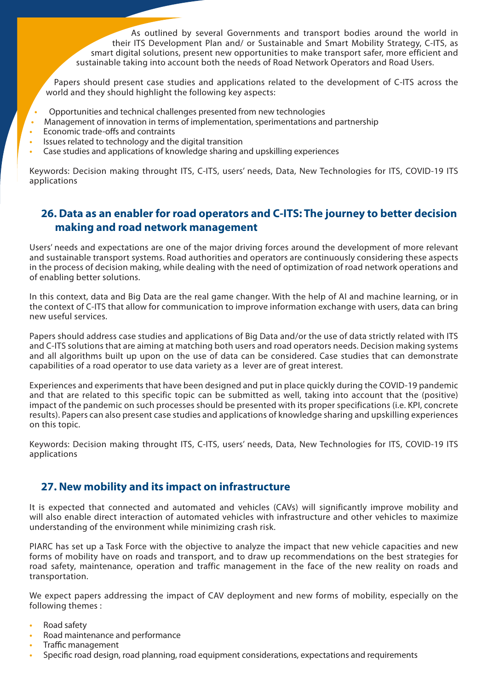As outlined by several Governments and transport bodies around the world in their ITS Development Plan and/ or Sustainable and Smart Mobility Strategy, C-ITS, as smart digital solutions, present new opportunities to make transport safer, more efficient and sustainable taking into account both the needs of Road Network Operators and Road Users.

Papers should present case studies and applications related to the development of C-ITS across the world and they should highlight the following key aspects:

- **•** Opportunities and technical challenges presented from new technologies
- **•** Management of innovation in terms of implementation, sperimentations and partnership
- **•** Economic trade-offs and contraints
- **•** Issues related to technology and the digital transition
- **•** Case studies and applications of knowledge sharing and upskilling experiences

Keywords: Decision making throught ITS, C-ITS, users' needs, Data, New Technologies for ITS, COVID-19 ITS applications

### **26. Data as an enabler for road operators and C-ITS: The journey to better decision making and road network management**

Users' needs and expectations are one of the major driving forces around the development of more relevant and sustainable transport systems. Road authorities and operators are continuously considering these aspects in the process of decision making, while dealing with the need of optimization of road network operations and of enabling better solutions.

In this context, data and Big Data are the real game changer. With the help of AI and machine learning, or in the context of C-ITS that allow for communication to improve information exchange with users, data can bring new useful services.

Papers should address case studies and applications of Big Data and/or the use of data strictly related with ITS and C-ITS solutions that are aiming at matching both users and road operators needs. Decision making systems and all algorithms built up upon on the use of data can be considered. Case studies that can demonstrate capabilities of a road operator to use data variety as a lever are of great interest.

Experiences and experiments that have been designed and put in place quickly during the COVID-19 pandemic and that are related to this specific topic can be submitted as well, taking into account that the (positive) impact of the pandemic on such processes should be presented with its proper specifications (i.e. KPI, concrete results). Papers can also present case studies and applications of knowledge sharing and upskilling experiences on this topic.

Keywords: Decision making throught ITS, C-ITS, users' needs, Data, New Technologies for ITS, COVID-19 ITS applications

#### **27. New mobility and its impact on infrastructure**

It is expected that connected and automated and vehicles (CAVs) will significantly improve mobility and will also enable direct interaction of automated vehicles with infrastructure and other vehicles to maximize understanding of the environment while minimizing crash risk.

PIARC has set up a Task Force with the objective to analyze the impact that new vehicle capacities and new forms of mobility have on roads and transport, and to draw up recommendations on the best strategies for road safety, maintenance, operation and traffic management in the face of the new reality on roads and transportation.

We expect papers addressing the impact of CAV deployment and new forms of mobility, especially on the following themes :

- **•** Road safety
- **•** Road maintenance and performance
- **•** Traffic management
- **•** Specific road design, road planning, road equipment considerations, expectations and requirements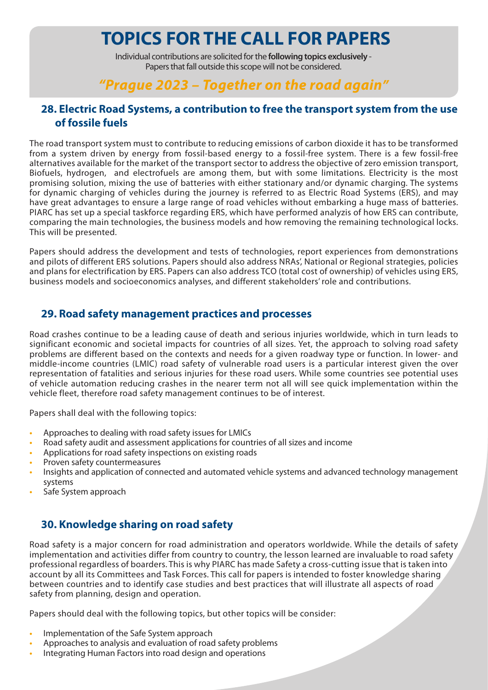Individual contributions are solicited for the **following topics exclusively** - Papers that fall outside this scope will not be considered.

## *"Prague 2023 – Together on the road again"*

## **28. Electric Road Systems, a contribution to free the transport system from the use of fossile fuels**

The road transport system must to contribute to reducing emissions of carbon dioxide it has to be transformed from a system driven by energy from fossil-based energy to a fossil-free system. There is a few fossil-free alternatives available for the market of the transport sector to address the objective of zero emission transport, Biofuels, hydrogen, and electrofuels are among them, but with some limitations. Electricity is the most promising solution, mixing the use of batteries with either stationary and/or dynamic charging. The systems for dynamic charging of vehicles during the journey is referred to as Electric Road Systems (ERS), and may have great advantages to ensure a large range of road vehicles without embarking a huge mass of batteries. PIARC has set up a special taskforce regarding ERS, which have performed analyzis of how ERS can contribute, comparing the main technologies, the business models and how removing the remaining technological locks. This will be presented.

Papers should address the development and tests of technologies, report experiences from demonstrations and pilots of different ERS solutions. Papers should also address NRAs', National or Regional strategies, policies and plans for electrification by ERS. Papers can also address TCO (total cost of ownership) of vehicles using ERS, business models and socioeconomics analyses, and different stakeholders' role and contributions.

### **29. Road safety management practices and processes**

Road crashes continue to be a leading cause of death and serious injuries worldwide, which in turn leads to significant economic and societal impacts for countries of all sizes. Yet, the approach to solving road safety problems are different based on the contexts and needs for a given roadway type or function. In lower- and middle-income countries (LMIC) road safety of vulnerable road users is a particular interest given the over representation of fatalities and serious injuries for these road users. While some countries see potential uses of vehicle automation reducing crashes in the nearer term not all will see quick implementation within the vehicle fleet, therefore road safety management continues to be of interest.

Papers shall deal with the following topics:

- **•** Approaches to dealing with road safety issues for LMICs
- **•** Road safety audit and assessment applications for countries of all sizes and income
- **•** Applications for road safety inspections on existing roads
- **•** Proven safety countermeasures
- **•** Insights and application of connected and automated vehicle systems and advanced technology management systems
- **•** Safe System approach

## **30. Knowledge sharing on road safety**

Road safety is a major concern for road administration and operators worldwide. While the details of safety implementation and activities differ from country to country, the lesson learned are invaluable to road safety professional regardless of boarders. This is why PIARC has made Safety a cross-cutting issue that is taken into account by all its Committees and Task Forces. This call for papers is intended to foster knowledge sharing between countries and to identify case studies and best practices that will illustrate all aspects of road safety from planning, design and operation.

Papers should deal with the following topics, but other topics will be consider:

- **•** Implementation of the Safe System approach
- **•** Approaches to analysis and evaluation of road safety problems
- **•** Integrating Human Factors into road design and operations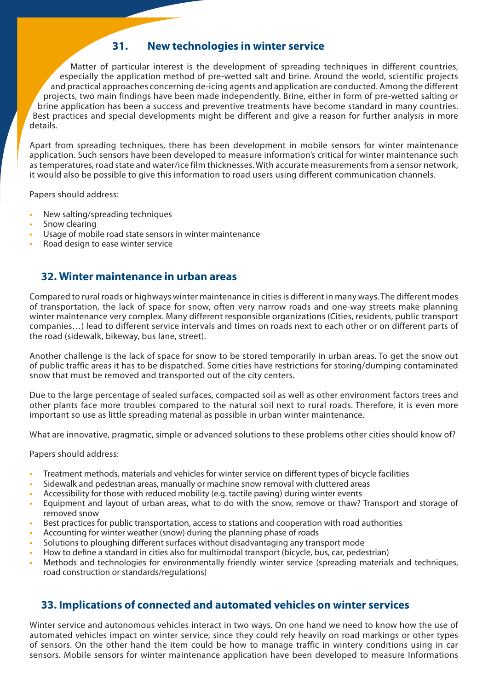### **31. New technologies in winter service**

Matter of particular interest is the development of spreading techniques in different countries, especially the application method of pre-wetted salt and brine. Around the world, scientific projects and practical approaches concerning de-icing agents and application are conducted. Among the different projects, two main findings have been made independently. Brine, either in form of pre-wetted salting or brine application has been a success and preventive treatments have become standard in many countries. Best practices and special developments might be different and give a reason for further analysis in more details.

Apart from spreading techniques, there has been development in mobile sensors for winter maintenance application. Such sensors have been developed to measure information's critical for winter maintenance such as temperatures, road state and water/ice film thicknesses. With accurate measurements from a sensor network, it would also be possible to give this information to road users using different communication channels.

Papers should address:

- **•** New salting/spreading techniques
- **•** Snow clearing
- **•** Usage of mobile road state sensors in winter maintenance
- **•** Road design to ease winter service

### **32. Winter maintenance in urban areas**

Compared to rural roads or highways winter maintenance in cities is different in many ways. The different modes of transportation, the lack of space for snow, often very narrow roads and one-way streets make planning winter maintenance very complex. Many different responsible organizations (Cities, residents, public transport companies…) lead to different service intervals and times on roads next to each other or on different parts of the road (sidewalk, bikeway, bus lane, street).

Another challenge is the lack of space for snow to be stored temporarily in urban areas. To get the snow out of public traffic areas it has to be dispatched. Some cities have restrictions for storing/dumping contaminated snow that must be removed and transported out of the city centers.

Due to the large percentage of sealed surfaces, compacted soil as well as other environment factors trees and other plants face more troubles compared to the natural soil next to rural roads. Therefore, it is even more important so use as little spreading material as possible in urban winter maintenance.

What are innovative, pragmatic, simple or advanced solutions to these problems other cities should know of?

Papers should address:

- **•** Treatment methods, materials and vehicles for winter service on different types of bicycle facilities
- **•** Sidewalk and pedestrian areas, manually or machine snow removal with cluttered areas
- **•** Accessibility for those with reduced mobility (e.g. tactile paving) during winter events
- **•** Equipment and layout of urban areas, what to do with the snow, remove or thaw? Transport and storage of removed snow
- **•** Best practices for public transportation, access to stations and cooperation with road authorities
- **•** Accounting for winter weather (snow) during the planning phase of roads
- **•** Solutions to ploughing different surfaces without disadvantaging any transport mode
- **•** How to define a standard in cities also for multimodal transport (bicycle, bus, car, pedestrian)
- **•** Methods and technologies for environmentally friendly winter service (spreading materials and techniques, road construction or standards/regulations)

## **33. Implications of connected and automated vehicles on winter services**

Winter service and autonomous vehicles interact in two ways. On one hand we need to know how the use of automated vehicles impact on winter service, since they could rely heavily on road markings or other types of sensors. On the other hand the item could be how to manage traffic in wintery conditions using in car sensors. Mobile sensors for winter maintenance application have been developed to measure Informations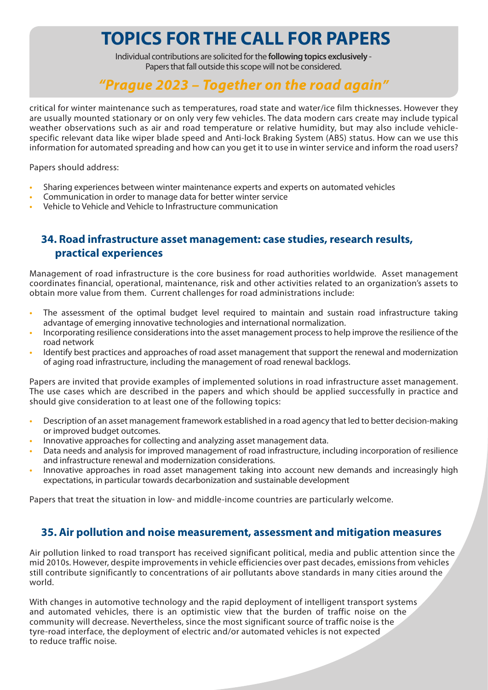Individual contributions are solicited for the **following topics exclusively** - Papers that fall outside this scope will not be considered.

## *"Prague 2023 – Together on the road again"*

critical for winter maintenance such as temperatures, road state and water/ice film thicknesses. However they are usually mounted stationary or on only very few vehicles. The data modern cars create may include typical weather observations such as air and road temperature or relative humidity, but may also include vehiclespecific relevant data like wiper blade speed and Anti-lock Braking System (ABS) status. How can we use this information for automated spreading and how can you get it to use in winter service and inform the road users?

Papers should address:

- **•** Sharing experiences between winter maintenance experts and experts on automated vehicles
- **•** Communication in order to manage data for better winter service
- **•** Vehicle to Vehicle and Vehicle to Infrastructure communication

## **34. Road infrastructure asset management: case studies, research results, practical experiences**

Management of road infrastructure is the core business for road authorities worldwide. Asset management coordinates financial, operational, maintenance, risk and other activities related to an organization's assets to obtain more value from them. Current challenges for road administrations include:

- **•** The assessment of the optimal budget level required to maintain and sustain road infrastructure taking advantage of emerging innovative technologies and international normalization.
- **•** Incorporating resilience considerations into the asset management process to help improve the resilience of the road network
- **•** Identify best practices and approaches of road asset management that support the renewal and modernization of aging road infrastructure, including the management of road renewal backlogs.

Papers are invited that provide examples of implemented solutions in road infrastructure asset management. The use cases which are described in the papers and which should be applied successfully in practice and should give consideration to at least one of the following topics:

- **•** Description of an asset management framework established in a road agency that led to better decision-making or improved budget outcomes.
- **•** Innovative approaches for collecting and analyzing asset management data.
- **•** Data needs and analysis for improved management of road infrastructure, including incorporation of resilience and infrastructure renewal and modernization considerations.
- **•** Innovative approaches in road asset management taking into account new demands and increasingly high expectations, in particular towards decarbonization and sustainable development

Papers that treat the situation in low- and middle-income countries are particularly welcome.

#### **35. Air pollution and noise measurement, assessment and mitigation measures**

Air pollution linked to road transport has received significant political, media and public attention since the mid 2010s. However, despite improvements in vehicle efficiencies over past decades, emissions from vehicles still contribute significantly to concentrations of air pollutants above standards in many cities around the world.

With changes in automotive technology and the rapid deployment of intelligent transport systems and automated vehicles, there is an optimistic view that the burden of traffic noise on the community will decrease. Nevertheless, since the most significant source of traffic noise is the tyre-road interface, the deployment of electric and/or automated vehicles is not expected to reduce traffic noise.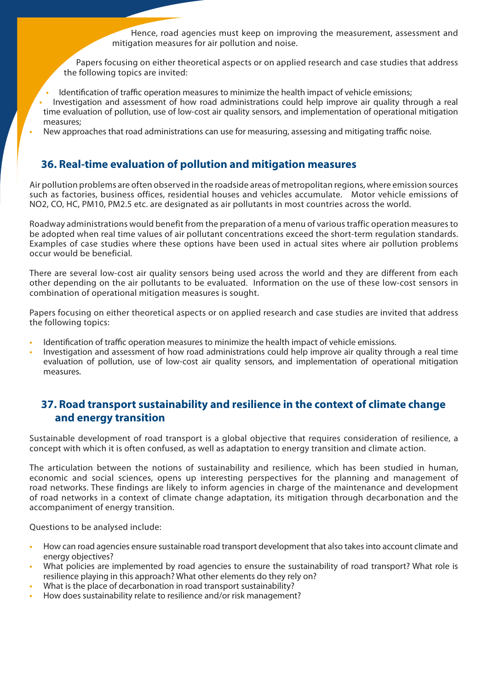Hence, road agencies must keep on improving the measurement, assessment and mitigation measures for air pollution and noise.

Papers focusing on either theoretical aspects or on applied research and case studies that address the following topics are invited:

**•** Identification of traffic operation measures to minimize the health impact of vehicle emissions;

- **•** Investigation and assessment of how road administrations could help improve air quality through a real time evaluation of pollution, use of low-cost air quality sensors, and implementation of operational mitigation measures;
- **•** New approaches that road administrations can use for measuring, assessing and mitigating traffic noise.

## **36. Real-time evaluation of pollution and mitigation measures**

Air pollution problems are often observed in the roadside areas of metropolitan regions, where emission sources such as factories, business offices, residential houses and vehicles accumulate. Motor vehicle emissions of NO2, CO, HC, PM10, PM2.5 etc. are designated as air pollutants in most countries across the world.

Roadway administrations would benefit from the preparation of a menu of various traffic operation measures to be adopted when real time values of air pollutant concentrations exceed the short-term regulation standards. Examples of case studies where these options have been used in actual sites where air pollution problems occur would be beneficial.

There are several low-cost air quality sensors being used across the world and they are different from each other depending on the air pollutants to be evaluated. Information on the use of these low-cost sensors in combination of operational mitigation measures is sought.

Papers focusing on either theoretical aspects or on applied research and case studies are invited that address the following topics:

- **•** Identification of traffic operation measures to minimize the health impact of vehicle emissions.
- **•** Investigation and assessment of how road administrations could help improve air quality through a real time evaluation of pollution, use of low-cost air quality sensors, and implementation of operational mitigation measures.

## **37. Road transport sustainability and resilience in the context of climate change and energy transition**

Sustainable development of road transport is a global objective that requires consideration of resilience, a concept with which it is often confused, as well as adaptation to energy transition and climate action.

The articulation between the notions of sustainability and resilience, which has been studied in human, economic and social sciences, opens up interesting perspectives for the planning and management of road networks. These findings are likely to inform agencies in charge of the maintenance and development of road networks in a context of climate change adaptation, its mitigation through decarbonation and the accompaniment of energy transition.

Questions to be analysed include:

- **•** How can road agencies ensure sustainable road transport development that also takes into account climate and energy objectives?
- **•** What policies are implemented by road agencies to ensure the sustainability of road transport? What role is resilience playing in this approach? What other elements do they rely on?
- **•** What is the place of decarbonation in road transport sustainability?
- **•** How does sustainability relate to resilience and/or risk management?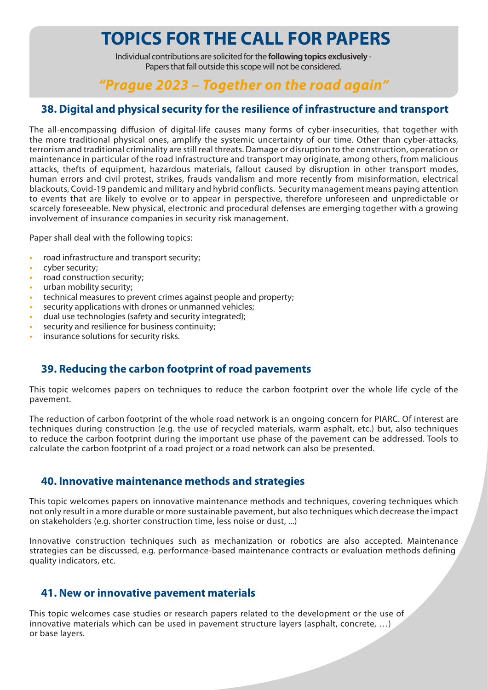Individual contributions are solicited for the **following topics exclusively** - Papers that fall outside this scope will not be considered.

## *"Prague 2023 – Together on the road again"*

## **38. Digital and physical security for the resilience of infrastructure and transport**

The all-encompassing diffusion of digital-life causes many forms of cyber-insecurities, that together with the more traditional physical ones, amplify the systemic uncertainty of our time. Other than cyber-attacks, terrorism and traditional criminality are still real threats. Damage or disruption to the construction, operation or maintenance in particular of the road infrastructure and transport may originate, among others, from malicious attacks, thefts of equipment, hazardous materials, fallout caused by disruption in other transport modes, human errors and civil protest, strikes, frauds vandalism and more recently from misinformation, electrical blackouts, Covid-19 pandemic and military and hybrid conflicts. Security management means paying attention to events that are likely to evolve or to appear in perspective, therefore unforeseen and unpredictable or scarcely foreseeable. New physical, electronic and procedural defenses are emerging together with a growing involvement of insurance companies in security risk management.

Paper shall deal with the following topics:

- **•** road infrastructure and transport security;
- **•** cyber security;
- **•** road construction security;
- **•** urban mobility security;
- **•** technical measures to prevent crimes against people and property;
- **•** security applications with drones or unmanned vehicles;
- **•** dual use technologies (safety and security integrated);
- **•** security and resilience for business continuity;
- **•** insurance solutions for security risks.

## **39. Reducing the carbon footprint of road pavements**

This topic welcomes papers on techniques to reduce the carbon footprint over the whole life cycle of the pavement.

The reduction of carbon footprint of the whole road network is an ongoing concern for PIARC. Of interest are techniques during construction (e.g. the use of recycled materials, warm asphalt, etc.) but, also techniques to reduce the carbon footprint during the important use phase of the pavement can be addressed. Tools to calculate the carbon footprint of a road project or a road network can also be presented.

#### **40. Innovative maintenance methods and strategies**

This topic welcomes papers on innovative maintenance methods and techniques, covering techniques which not only result in a more durable or more sustainable pavement, but also techniques which decrease the impact on stakeholders (e.g. shorter construction time, less noise or dust, ...)

Innovative construction techniques such as mechanization or robotics are also accepted. Maintenance strategies can be discussed, e.g. performance-based maintenance contracts or evaluation methods defining quality indicators, etc.

#### **41. New or innovative pavement materials**

This topic welcomes case studies or research papers related to the development or the use of innovative materials which can be used in pavement structure layers (asphalt, concrete, …) or base layers.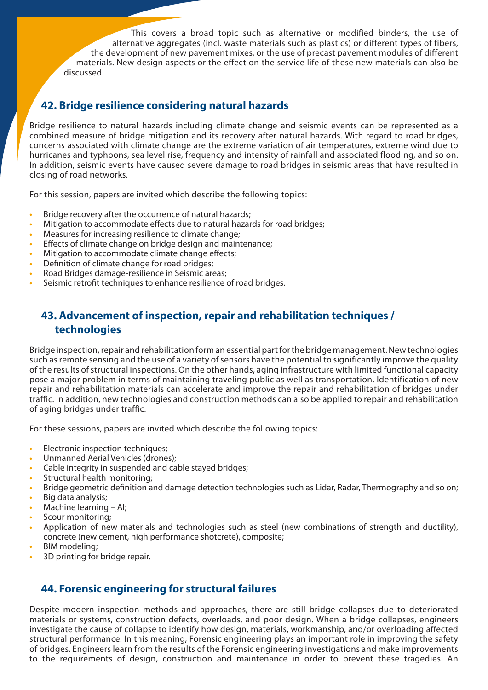This covers a broad topic such as alternative or modified binders, the use of alternative aggregates (incl. waste materials such as plastics) or different types of fibers, the development of new pavement mixes, or the use of precast pavement modules of different materials. New design aspects or the effect on the service life of these new materials can also be discussed.

## **42. Bridge resilience considering natural hazards**

Bridge resilience to natural hazards including climate change and seismic events can be represented as a combined measure of bridge mitigation and its recovery after natural hazards. With regard to road bridges, concerns associated with climate change are the extreme variation of air temperatures, extreme wind due to hurricanes and typhoons, sea level rise, frequency and intensity of rainfall and associated flooding, and so on. In addition, seismic events have caused severe damage to road bridges in seismic areas that have resulted in closing of road networks.

For this session, papers are invited which describe the following topics:

- **•** Bridge recovery after the occurrence of natural hazards;
- **•** Mitigation to accommodate effects due to natural hazards for road bridges;
- **•** Measures for increasing resilience to climate change;
- **•** Effects of climate change on bridge design and maintenance;
- **•** Mitigation to accommodate climate change effects;
- **•** Definition of climate change for road bridges;
- **•** Road Bridges damage-resilience in Seismic areas;
- **•** Seismic retrofit techniques to enhance resilience of road bridges.

## **43. Advancement of inspection, repair and rehabilitation techniques / technologies**

Bridge inspection, repair and rehabilitation form an essential part for the bridge management. New technologies such as remote sensing and the use of a variety of sensors have the potential to significantly improve the quality of the results of structural inspections. On the other hands, aging infrastructure with limited functional capacity pose a major problem in terms of maintaining traveling public as well as transportation. Identification of new repair and rehabilitation materials can accelerate and improve the repair and rehabilitation of bridges under traffic. In addition, new technologies and construction methods can also be applied to repair and rehabilitation of aging bridges under traffic.

For these sessions, papers are invited which describe the following topics:

- **•** Electronic inspection techniques;
- **•** Unmanned Aerial Vehicles (drones);
- **•** Cable integrity in suspended and cable stayed bridges;
- **•** Structural health monitoring;
- **•** Bridge geometric definition and damage detection technologies such as Lidar, Radar, Thermography and so on;
- **•** Big data analysis;
- **•** Machine learning AI;
- **•** Scour monitoring;
- **•** Application of new materials and technologies such as steel (new combinations of strength and ductility), concrete (new cement, high performance shotcrete), composite;
- **•** BIM modeling;
- **•** 3D printing for bridge repair.

## **44. Forensic engineering for structural failures**

Despite modern inspection methods and approaches, there are still bridge collapses due to deteriorated materials or systems, construction defects, overloads, and poor design. When a bridge collapses, engineers investigate the cause of collapse to identify how design, materials, workmanship, and/or overloading affected structural performance. In this meaning, Forensic engineering plays an important role in improving the safety of bridges. Engineers learn from the results of the Forensic engineering investigations and make improvements to the requirements of design, construction and maintenance in order to prevent these tragedies. An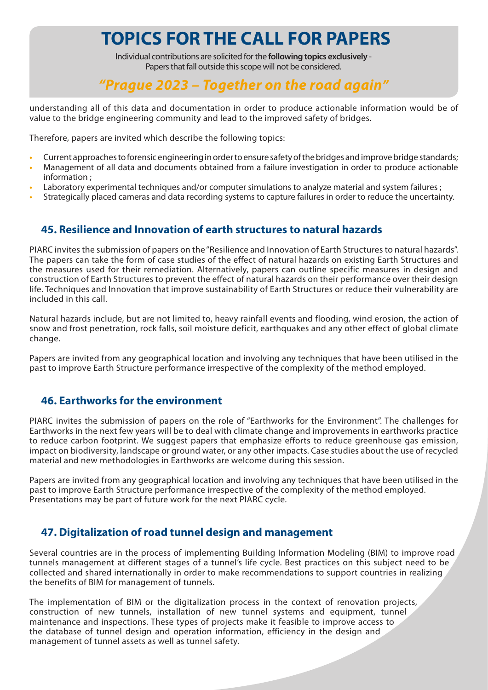Individual contributions are solicited for the **following topics exclusively** - Papers that fall outside this scope will not be considered.

## *"Prague 2023 – Together on the road again"*

understanding all of this data and documentation in order to produce actionable information would be of value to the bridge engineering community and lead to the improved safety of bridges.

Therefore, papers are invited which describe the following topics:

- **•** Current approaches to forensic engineering in order to ensure safety of the bridges and improve bridge standards;
- **•** Management of all data and documents obtained from a failure investigation in order to produce actionable information ;
- **•** Laboratory experimental techniques and/or computer simulations to analyze material and system failures ;
- **•** Strategically placed cameras and data recording systems to capture failures in order to reduce the uncertainty.

## **45. Resilience and Innovation of earth structures to natural hazards**

PIARC invites the submission of papers on the "Resilience and Innovation of Earth Structures to natural hazards". The papers can take the form of case studies of the effect of natural hazards on existing Earth Structures and the measures used for their remediation. Alternatively, papers can outline specific measures in design and construction of Earth Structures to prevent the effect of natural hazards on their performance over their design life. Techniques and Innovation that improve sustainability of Earth Structures or reduce their vulnerability are included in this call.

Natural hazards include, but are not limited to, heavy rainfall events and flooding, wind erosion, the action of snow and frost penetration, rock falls, soil moisture deficit, earthquakes and any other effect of global climate change.

Papers are invited from any geographical location and involving any techniques that have been utilised in the past to improve Earth Structure performance irrespective of the complexity of the method employed.

#### **46. Earthworks for the environment**

PIARC invites the submission of papers on the role of "Earthworks for the Environment". The challenges for Earthworks in the next few years will be to deal with climate change and improvements in earthworks practice to reduce carbon footprint. We suggest papers that emphasize efforts to reduce greenhouse gas emission, impact on biodiversity, landscape or ground water, or any other impacts. Case studies about the use of recycled material and new methodologies in Earthworks are welcome during this session.

Papers are invited from any geographical location and involving any techniques that have been utilised in the past to improve Earth Structure performance irrespective of the complexity of the method employed. Presentations may be part of future work for the next PIARC cycle.

## **47. Digitalization of road tunnel design and management**

Several countries are in the process of implementing Building Information Modeling (BIM) to improve road tunnels management at different stages of a tunnel's life cycle. Best practices on this subject need to be collected and shared internationally in order to make recommendations to support countries in realizing the benefits of BIM for management of tunnels.

The implementation of BIM or the digitalization process in the context of renovation projects, construction of new tunnels, installation of new tunnel systems and equipment, tunnel maintenance and inspections. These types of projects make it feasible to improve access to the database of tunnel design and operation information, efficiency in the design and management of tunnel assets as well as tunnel safety.